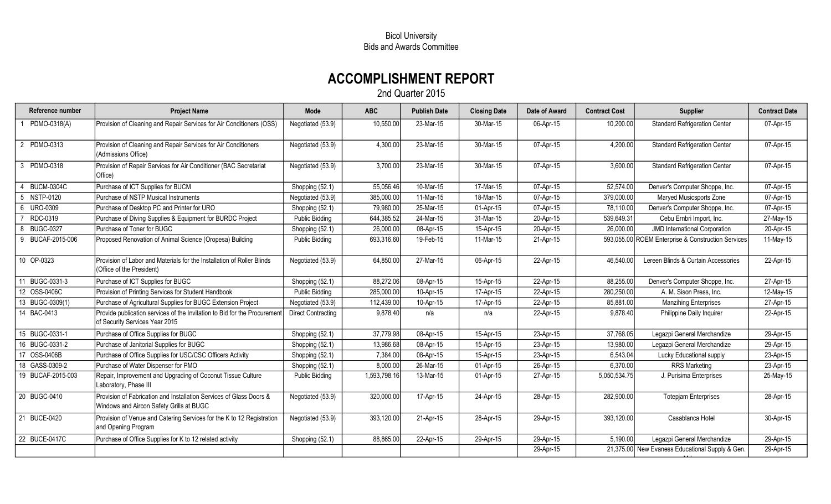## Bicol University Bids and Awards Committee

## ACCOMPLISHMENT REPORT

2nd Quarter 2015

| Reference number      | <b>Project Name</b>                                                                                             | Mode                      | <b>ABC</b>   | <b>Publish Date</b> | <b>Closing Date</b> | Date of Award | <b>Contract Cost</b> | Supplier                                           | <b>Contract Date</b> |
|-----------------------|-----------------------------------------------------------------------------------------------------------------|---------------------------|--------------|---------------------|---------------------|---------------|----------------------|----------------------------------------------------|----------------------|
| PDMO-0318(A)          | Provision of Cleaning and Repair Services for Air Conditioners (OSS)                                            | Negotiated (53.9)         | 10,550.00    | 23-Mar-15           | 30-Mar-15           | 06-Apr-15     | 10,200.00            | <b>Standard Refrigeration Center</b>               | 07-Apr-15            |
| 2 PDMO-0313           | Provision of Cleaning and Repair Services for Air Conditioners<br>(Admissions Office)                           | Negotiated (53.9)         | 4,300.00     | 23-Mar-15           | 30-Mar-15           | 07-Apr-15     | 4,200.00             | <b>Standard Refrigeration Center</b>               | 07-Apr-15            |
| PDMO-0318<br>3        | Provision of Repair Services for Air Conditioner (BAC Secretariat<br>Office)                                    | Negotiated (53.9)         | 3,700.00     | 23-Mar-15           | 30-Mar-15           | 07-Apr-15     | 3,600.00             | <b>Standard Refrigeration Center</b>               | 07-Apr-15            |
| <b>BUCM-0304C</b>     | Purchase of ICT Supplies for BUCM                                                                               | Shopping (52.1)           | 55,056.46    | 10-Mar-15           | 17-Mar-15           | 07-Apr-15     | 52,574.00            | Denver's Computer Shoppe, Inc.                     | 07-Apr-15            |
| <b>NSTP-0120</b><br>5 | Purchase of NSTP Musical Instruments                                                                            | Negotiated (53.9)         | 385,000.00   | 11-Mar-15           | 18-Mar-15           | 07-Apr-15     | 379,000.00           | Maryed Musicsports Zone                            | 07-Apr-15            |
| 6 URO-0309            | Purchase of Desktop PC and Printer for URO                                                                      | Shopping (52.1)           | 79,980.00    | 25-Mar-15           | 01-Apr-15           | 07-Apr-15     | 78,110.00            | Denver's Computer Shoppe, Inc.                     | 07-Apr-15            |
| RDC-0319              | Purchase of Diving Supplies & Equipment for BURDC Project                                                       | <b>Public Bidding</b>     | 644,385.52   | 24-Mar-15           | 31-Mar-15           | 20-Apr-15     | 539,649.31           | Cebu Ernbri Import, Inc.                           | 27-May-15            |
| <b>BUGC-0327</b><br>8 | Purchase of Toner for BUGC                                                                                      | Shopping (52.1)           | 26,000.00    | 08-Apr-15           | 15-Apr-15           | 20-Apr-15     | 26,000.00            | JMD International Corporation                      | 20-Apr-15            |
| BUCAF-2015-006<br>9   | Proposed Renovation of Animal Science (Oropesa) Building                                                        | <b>Public Bidding</b>     | 693,316.60   | 19-Feb-15           | 11-Mar-15           | 21-Apr-15     |                      | 593,055.00 ROEM Enterprise & Construction Services | 11-May-15            |
| 10 OP-0323            | Provision of Labor and Materials for the Installation of Roller Blinds<br>(Office of the President)             | Negotiated (53.9)         | 64,850.00    | 27-Mar-15           | 06-Apr-15           | 22-Apr-15     | 46,540.00            | Lereen Blinds & Curtain Accessories                | 22-Apr-15            |
| BUGC-0331-3<br>11     | Purchase of ICT Supplies for BUGC                                                                               | Shopping (52.1)           | 88,272.06    | 08-Apr-15           | 15-Apr-15           | 22-Apr-15     | 88,255.00            | Denver's Computer Shoppe, Inc.                     | 27-Apr-15            |
| 12 OSS-0406C          | Provision of Printing Services for Student Handbook                                                             | <b>Public Bidding</b>     | 285,000.00   | 10-Apr-15           | 17-Apr-15           | 22-Apr-15     | 280,250.00           | A. M. Sison Press, Inc.                            | 12-May-15            |
| 13 BUGC-0309(1)       | Purchase of Agricultural Supplies for BUGC Extension Project                                                    | Negotiated (53.9)         | 112,439.00   | 10-Apr-15           | 17-Apr-15           | 22-Apr-15     | 85,881.00            | <b>Manzihing Enterprises</b>                       | 27-Apr-15            |
| 14 BAC-0413           | Provide publication services of the Invitation to Bid for the Procurement<br>of Security Services Year 2015     | <b>Direct Contracting</b> | 9,878.40     | n/a                 | n/a                 | 22-Apr-15     | 9,878.40             | Philippine Daily Inquirer                          | 22-Apr-15            |
| BUGC-0331-1<br>15     | Purchase of Office Supplies for BUGC                                                                            | Shopping (52.1)           | 37,779.98    | 08-Apr-15           | 15-Apr-15           | 23-Apr-15     | 37,768.05            | Legazpi General Merchandize                        | 29-Apr-15            |
| 16 BUGC-0331-2        | Purchase of Janitorial Supplies for BUGC                                                                        | Shopping (52.1)           | 13,986.68    | 08-Apr-15           | 15-Apr-15           | 23-Apr-15     | 13,980.00            | Legazpi General Merchandize                        | 29-Apr-15            |
| 17 OSS-0406B          | Purchase of Office Supplies for USC/CSC Officers Activity                                                       | Shopping (52.1)           | 7,384.00     | 08-Apr-15           | 15-Apr-15           | 23-Apr-15     | 6,543.04             | Lucky Educational supply                           | 23-Apr-15            |
| GASS-0309-2<br>18     | Purchase of Water Dispenser for PMO                                                                             | Shopping (52.1)           | 8,000.00     | 26-Mar-15           | 01-Apr-15           | 26-Apr-15     | 6,370.00             | <b>RRS Marketing</b>                               | 23-Apr-15            |
| 19 BUCAF-2015-003     | Repair, Improvement and Upgrading of Coconut Tissue Culture<br>Laboratory, Phase III                            | <b>Public Bidding</b>     | 1,593,798.16 | 13-Mar-15           | 01-Apr-15           | 27-Apr-15     | 5,050,534.75         | J. Purisima Enterprises                            | 25-May-15            |
| 20 BUGC-0410          | Provision of Fabrication and Installation Services of Glass Doors &<br>Windows and Aircon Safety Grills at BUGC | Negotiated (53.9)         | 320,000.00   | 17-Apr-15           | 24-Apr-15           | 28-Apr-15     | 282,900.00           | <b>Totepjam Enterprises</b>                        | 28-Apr-15            |
| 21 BUCE-0420          | Provision of Venue and Catering Services for the K to 12 Registration<br>and Opening Program                    | Negotiated (53.9)         | 393,120.00   | 21-Apr-15           | 28-Apr-15           | 29-Apr-15     | 393,120.00           | Casablanca Hotel                                   | 30-Apr-15            |
| 22 BUCE-0417C         | Purchase of Office Supplies for K to 12 related activity                                                        | Shopping (52.1)           | 88,865.00    | 22-Apr-15           | 29-Apr-15           | 29-Apr-15     | 5,190.00             | Legazpi General Merchandize                        | 29-Apr-15            |
|                       |                                                                                                                 |                           |              |                     |                     | 29-Apr-15     |                      | 21,375.00 New Evaness Educational Supply & Gen.    | 29-Apr-15            |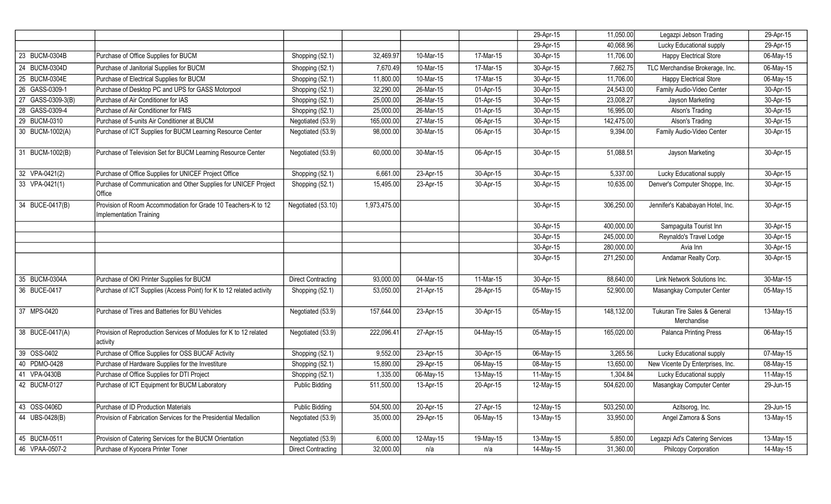|                         |                                                                                                 |                           |              |                 |           | 29-Apr-15               | 11,050.00  | Legazpi Jebson Trading                      | 29-Apr-15 |
|-------------------------|-------------------------------------------------------------------------------------------------|---------------------------|--------------|-----------------|-----------|-------------------------|------------|---------------------------------------------|-----------|
|                         |                                                                                                 |                           |              |                 |           | 29-Apr-15               | 40,068.96  | Lucky Educational supply                    | 29-Apr-15 |
| <b>BUCM-0304B</b><br>23 | Purchase of Office Supplies for BUCM                                                            | Shopping (52.1)           | 32,469.97    | $10$ -Mar- $15$ | 17-Mar-15 | 30-Apr-15               | 11,706.00  | <b>Happy Electrical Store</b>               | 06-May-15 |
| 24 BUCM-0304D           | Purchase of Janitorial Supplies for BUCM                                                        | Shopping (52.1)           | 7,670.49     | 10-Mar-15       | 17-Mar-15 | 30-Apr-15               | 7,662.75   | TLC Merchandise Brokerage, Inc.             | 06-May-15 |
| 25 BUCM-0304E           | Purchase of Electrical Supplies for BUCM                                                        | Shopping (52.1)           | 11,800.00    | 10-Mar-15       | 17-Mar-15 | 30-Apr-15               | 11,706.00  | <b>Happy Electrical Store</b>               | 06-May-15 |
| 26 GASS-0309-1          | Purchase of Desktop PC and UPS for GASS Motorpool                                               | Shopping (52.1)           | 32,290.00    | 26-Mar-15       | 01-Apr-15 | $\overline{30}$ -Apr-15 | 24,543.00  | Family Audio-Video Center                   | 30-Apr-15 |
| 27 GASS-0309-3(B)       | Purchase of Air Conditioner for IAS                                                             | Shopping (52.1)           | 25,000.00    | 26-Mar-15       | 01-Apr-15 | 30-Apr-15               | 23,008.27  | Jayson Marketing                            | 30-Apr-15 |
| 28 GASS-0309-4          | Purchase of Air Conditioner for FMS                                                             | Shopping (52.1)           | 25,000.00    | 26-Mar-15       | 01-Apr-15 | 30-Apr-15               | 16,995.00  | Alson's Trading                             | 30-Apr-15 |
| 29 BUCM-0310            | Purchase of 5-units Air Conditioner at BUCM                                                     | Negotiated (53.9)         | 165,000.00   | 27-Mar-15       | 06-Apr-15 | 30-Apr-15               | 142,475.00 | Alson's Trading                             | 30-Apr-15 |
| 30 BUCM-1002(A)         | Purchase of ICT Supplies for BUCM Learning Resource Center                                      | Negotiated (53.9)         | 98,000.00    | 30-Mar-15       | 06-Apr-15 | 30-Apr-15               | 9,394.00   | Family Audio-Video Center                   | 30-Apr-15 |
| 31 BUCM-1002(B)         | Purchase of Television Set for BUCM Learning Resource Center                                    | Negotiated (53.9)         | 60,000.00    | 30-Mar-15       | 06-Apr-15 | 30-Apr-15               | 51,088.51  | Jayson Marketing                            | 30-Apr-15 |
| 32 VPA-0421(2)          | Purchase of Office Supplies for UNICEF Project Office                                           | Shopping (52.1)           | 6,661.00     | 23-Apr-15       | 30-Apr-15 | 30-Apr-15               | 5,337.00   | Lucky Educational supply                    | 30-Apr-15 |
| 33 VPA-0421(1)          | Purchase of Communication and Other Supplies for UNICEF Project<br>Office                       | Shopping (52.1)           | 15,495.00    | 23-Apr-15       | 30-Apr-15 | 30-Apr-15               | 10,635.00  | Denver's Computer Shoppe, Inc.              | 30-Apr-15 |
| 34 BUCE-0417(B)         | Provision of Room Accommodation for Grade 10 Teachers-K to 12<br><b>Implementation Training</b> | Negotiated (53.10)        | 1,973,475.00 |                 |           | 30-Apr-15               | 306,250.00 | Jennifer's Kababayan Hotel, Inc.            | 30-Apr-15 |
|                         |                                                                                                 |                           |              |                 |           | 30-Apr-15               | 400,000.00 | Sampaguita Tourist Inn                      | 30-Apr-15 |
|                         |                                                                                                 |                           |              |                 |           | 30-Apr-15               | 245,000.00 | Reynaldo's Travel Lodge                     | 30-Apr-15 |
|                         |                                                                                                 |                           |              |                 |           | 30-Apr-15               | 280,000.00 | Avia Inn                                    | 30-Apr-15 |
|                         |                                                                                                 |                           |              |                 |           | 30-Apr-15               | 271,250.00 | Andamar Realty Corp.                        | 30-Apr-15 |
| 35 BUCM-0304A           | Purchase of OKI Printer Supplies for BUCM                                                       | <b>Direct Contracting</b> | 93,000.00    | 04-Mar-15       | 11-Mar-15 | 30-Apr-15               | 88,640.00  | Link Network Solutions Inc.                 | 30-Mar-15 |
| 36 BUCE-0417            | Purchase of ICT Supplies (Access Point) for K to 12 related activity                            | Shopping (52.1)           | 53,050.00    | 21-Apr-15       | 28-Apr-15 | $05$ -May-15            | 52,900.00  | Masangkay Computer Center                   | 05-May-15 |
| 37 MPS-0420             | Purchase of Tires and Batteries for BU Vehicles                                                 | Negotiated (53.9)         | 157,644.00   | 23-Apr-15       | 30-Apr-15 | 05-May-15               | 148,132.00 | Tukuran Tire Sales & General<br>Merchandise | 13-May-15 |
| 38 BUCE-0417(A)         | Provision of Reproduction Services of Modules for K to 12 related<br>activity                   | Negotiated (53.9)         | 222,096.41   | 27-Apr-15       | 04-May-15 | 05-May-15               | 165,020.00 | <b>Palanca Printing Press</b>               | 06-May-15 |
| 39 OSS-0402             | Purchase of Office Supplies for OSS BUCAF Activity                                              | Shopping (52.1)           | 9,552.00     | 23-Apr-15       | 30-Apr-15 | 06-May-15               | 3,265.56   | Lucky Educational supply                    | 07-May-15 |
| <b>PDMO-0428</b><br>40  | Purchase of Hardware Supplies for the Investiture                                               | Shopping (52.1)           | 15,890.00    | 29-Apr-15       | 06-May-15 | 08-May-15               | 13,650.00  | New Vicente Dy Enterprises, Inc.            | 08-May-15 |
| 41 VPA-0430B            | Purchase of Office Supplies for DTI Project                                                     | Shopping (52.1)           | 1,335.00     | 06-May-15       | 13-May-15 | 11-May-15               | 1,304.84   | Lucky Educational supply                    | 11-May-15 |
| 42 BUCM-0127            | Purchase of ICT Equipment for BUCM Laboratory                                                   | <b>Public Bidding</b>     | 511,500.00   | 13-Apr-15       | 20-Apr-15 | 12-May-15               | 504,620.00 | Masangkay Computer Center                   | 29-Jun-15 |
| 43 OSS-0406D            | Purchase of ID Production Materials                                                             | <b>Public Bidding</b>     | 504,500.00   | 20-Apr-15       | 27-Apr-15 | 12-May-15               | 503,250.00 | Azitsorog, Inc.                             | 29-Jun-15 |
| $\sqrt{44}$ UBS-0428(B) | Provision of Fabrication Services for the Presidential Medallion                                | Negotiated (53.9)         | 35,000.00    | 29-Apr-15       | 06-May-15 | 13-May-15               | 33,950.00  | Angel Zamora & Sons                         | 13-May-15 |
| <b>BUCM-0511</b><br>45  | Provision of Catering Services for the BUCM Orientation                                         | Negotiated (53.9)         | 6,000.00     | 12-May-15       | 19-May-15 | 13-May-15               | 5,850.00   | Legazpi Ad's Catering Services              | 13-May-15 |
| 46 VPAA-0507-2          | Purchase of Kyocera Printer Toner                                                               | Direct Contracting        | 32,000.00    | n/a             | n/a       | 14-May-15               | 31,360.00  | Philcopy Corporation                        | 14-May-15 |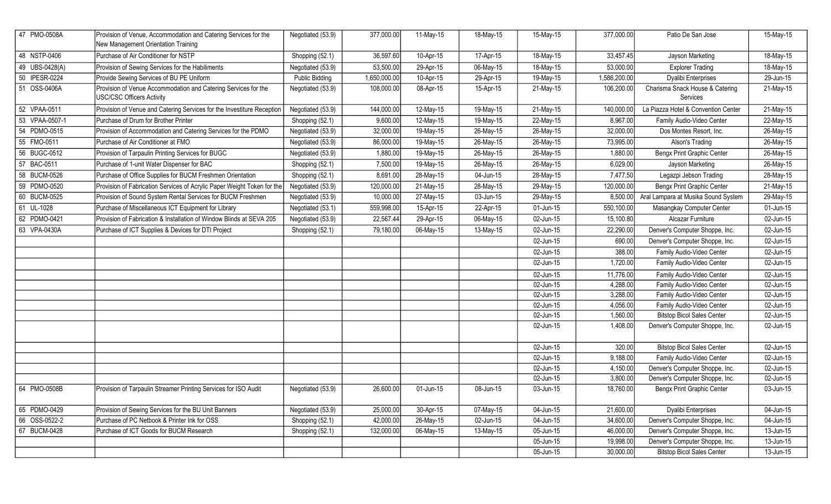| 47 PMO-0508A   | Provision of Venue, Accommodation and Catering Services for the<br>New Management Orientation Training | Negotiated (53.9)     | 377,000.00   | 11-May-15               | 18-May-15 | 15-May-15 | 377,000.00   | Patio De San Jose                           | 15-May-15    |
|----------------|--------------------------------------------------------------------------------------------------------|-----------------------|--------------|-------------------------|-----------|-----------|--------------|---------------------------------------------|--------------|
| 48 NSTP-0406   | Purchase of Air Conditioner for NSTP                                                                   | Shopping (52.1)       | 36,597.60    | 10-Apr-15               | 17-Apr-15 | 18-May-15 | 33,457.45    | Jayson Marketing                            | 18-May-15    |
| 49 UBS-0428(A) | Provision of Sewing Services for the Habiliments                                                       | Negotiated (53.9)     | 53,500.00    | 29-Apr-15               | 06-May-15 | 18-May-15 | 53,000.00    | <b>Explorer Trading</b>                     | 18-May-15    |
| 50 IPESR-0224  | Provide Sewing Services of BU PE Uniform                                                               | <b>Public Bidding</b> | 1,650,000.00 | 10-Apr-15               | 29-Apr-15 | 19-May-15 | 1,586,200.00 | <b>Dyalibi Enterprises</b>                  | 29-Jun-15    |
| 51 OSS-0406A   | Provision of Venue Accommodation and Catering Services for the<br><b>USC/CSC Officers Activity</b>     | Negotiated (53.9)     | 108,000.00   | 08-Apr-15               | 15-Apr-15 | 21-May-15 | 106,200.00   | Charisma Snack House & Catering<br>Services | 21-May-15    |
| 52 VPAA-0511   | Provision of Venue and Catering Services for the Investiture Reception                                 | Negotiated (53.9)     | 144,000.00   | 12-May-15               | 19-May-15 | 21-May-15 | 140,000.00   | La Piazza Hotel & Convention Center         | 21-May-15    |
| 53 VPAA-0507-1 | Purchase of Drum for Brother Printer                                                                   | Shopping (52.1)       | 9,600.00     | $\overline{12}$ -May-15 | 19-May-15 | 22-May-15 | 8,967.00     | Family Audio-Video Center                   | 22-May-15    |
| 54 PDMO-0515   | Provision of Accommodation and Catering Services for the PDMO                                          | Negotiated (53.9)     | 32,000.00    | 19-May-15               | 26-May-15 | 26-May-15 | 32,000.00    | Dos Montes Resort, Inc.                     | 26-May-15    |
| 55 FMO-0511    | Purchase of Air Conditioner at FMO                                                                     | Negotiated (53.9)     | 86,000.00    | 19-May-15               | 26-May-15 | 26-May-15 | 73,995.00    | Alson's Trading                             | 26-May-15    |
| 56 BUGC-0512   | Provision of Tarpaulin Printing Services for BUGC                                                      | Negotiated (53.9)     | 1,880.00     | 19-May-15               | 26-May-15 | 26-May-15 | 1,880.00     | Bengx Print Graphic Center                  | 26-May-15    |
| 57 BAC-0511    | Purchase of 1-unit Water Dispenser for BAC                                                             | Shopping (52.1)       | 7,500.00     | 19-May-15               | 26-May-15 | 26-May-15 | 6,029.00     | Jayson Marketing                            | 26-May-15    |
| 58 BUCM-0526   | Purchase of Office Supplies for BUCM Freshmen Orientation                                              | Shopping (52.1)       | 8,691.00     | $\overline{28}$ -May-15 | 04-Jun-15 | 28-May-15 | 7,477.50     | Legazpi Jebson Trading                      | 28-May-15    |
| 59 PDMO-0520   | Provision of Fabrication Services of Acrylic Paper Weight Token for the                                | Negotiated (53.9)     | 120,000.00   | 21-May-15               | 28-May-15 | 29-May-15 | 120,000.00   | <b>Bengx Print Graphic Center</b>           | 21-May-15    |
| 60 BUCM-0525   | Provision of Sound System Rental Services for BUCM Freshmen                                            | Negotiated (53.9)     | 10,000.00    | 27-May-15               | 03-Jun-15 | 29-May-15 | 8,500.00     | Aral Lampara at Musika Sound System         | 29-May-15    |
| 61 UL-1028     | Purchase of Miscellaneous ICT Equipment for Library                                                    | Negotiated (53.1)     | 559,998.00   | 15-Apr-15               | 22-Apr-15 | 01-Jun-15 | 550,100.00   | Masangkay Computer Center                   | $01$ -Jun-15 |
| 62 PDMO-0421   | Provision of Fabrication & Installation of Window Blinds at SEVA 205                                   | Negotiated (53.9)     | 22,567.44    | 29-Apr-15               | 06-May-15 | 02-Jun-15 | 15,100.80    | Alcazar Furniture                           | 02-Jun-15    |
| 63 VPA-0430A   | Purchase of ICT Supplies & Devices for DTI Project                                                     | Shopping (52.1)       | 79,180.00    | 06-May-15               | 13-May-15 | 02-Jun-15 | 22,290.00    | Denver's Computer Shoppe, Inc.              | 02-Jun-15    |
|                |                                                                                                        |                       |              |                         |           | 02-Jun-15 | 690.00       | Denver's Computer Shoppe, Inc.              | 02-Jun-15    |
|                |                                                                                                        |                       |              |                         |           | 02-Jun-15 | 388.00       | Family Audio-Video Center                   | 02-Jun-15    |
|                |                                                                                                        |                       |              |                         |           | 02-Jun-15 | 1,720.00     | Family Audio-Video Center                   | 02-Jun-15    |
|                |                                                                                                        |                       |              |                         |           | 02-Jun-15 | 11,776.00    | Family Audio-Video Center                   | 02-Jun-15    |
|                |                                                                                                        |                       |              |                         |           | 02-Jun-15 | 4,288.00     | Family Audio-Video Center                   | 02-Jun-15    |
|                |                                                                                                        |                       |              |                         |           | 02-Jun-15 | 3,288.00     | Family Audio-Video Center                   | 02-Jun-15    |
|                |                                                                                                        |                       |              |                         |           | 02-Jun-15 | 4,056.00     | Family Audio-Video Center                   | 02-Jun-15    |
|                |                                                                                                        |                       |              |                         |           | 02-Jun-15 | 1,560.00     | <b>Bitstop Bicol Sales Center</b>           | 02-Jun-15    |
|                |                                                                                                        |                       |              |                         |           | 02-Jun-15 | 1,408.00     | Denver's Computer Shoppe, Inc.              | 02-Jun-15    |
|                |                                                                                                        |                       |              |                         |           | 02-Jun-15 | 320.00       | <b>Bitstop Bicol Sales Center</b>           | 02-Jun-15    |
|                |                                                                                                        |                       |              |                         |           | 02-Jun-15 | 9,188.00     | Family Audio-Video Center                   | 02-Jun-15    |
|                |                                                                                                        |                       |              |                         |           | 02-Jun-15 | 4,150.00     | Denver's Computer Shoppe, Inc.              | 02-Jun-15    |
|                |                                                                                                        |                       |              |                         |           | 02-Jun-15 | 3,800.00     | Denver's Computer Shoppe, Inc.              | 02-Jun-15    |
| 64 PMO-0508B   | Provision of Tarpaulin Streamer Printing Services for ISO Audit                                        | Negotiated (53.9)     | 26,600.00    | 01-Jun-15               | 08-Jun-15 | 03-Jun-15 | 18,760.00    | <b>Bengx Print Graphic Center</b>           | 03-Jun-15    |
| 65 PDMO-0429   | Provision of Sewing Services for the BU Unit Banners                                                   | Negotiated (53.9)     | 25,000.00    | 30-Apr-15               | 07-May-15 | 04-Jun-15 | 21,600.00    | <b>Dyalibi Enterprises</b>                  | 04-Jun-15    |
| 66 OSS-0522-2  | Purchase of PC Netbook & Printer Ink for OSS                                                           | Shopping (52.1)       | 42,000.00    | 26-May-15               | 02-Jun-15 | 04-Jun-15 | 34,600.00    | Denver's Computer Shoppe, Inc.              | 04-Jun-15    |
| 67 BUCM-0428   | Purchase of ICT Goods for BUCM Research                                                                | Shopping (52.1)       | 132,000.00   | 06-May-15               | 13-May-15 | 05-Jun-15 | 46,000.00    | Denver's Computer Shoppe, Inc.              | 13-Jun-15    |
|                |                                                                                                        |                       |              |                         |           | 05-Jun-15 | 19,998.00    | Denver's Computer Shoppe, Inc.              | 13-Jun-15    |
|                |                                                                                                        |                       |              |                         |           | 05-Jun-15 | 30,000.00    | <b>Bitstop Bicol Sales Center</b>           | 13-Jun-15    |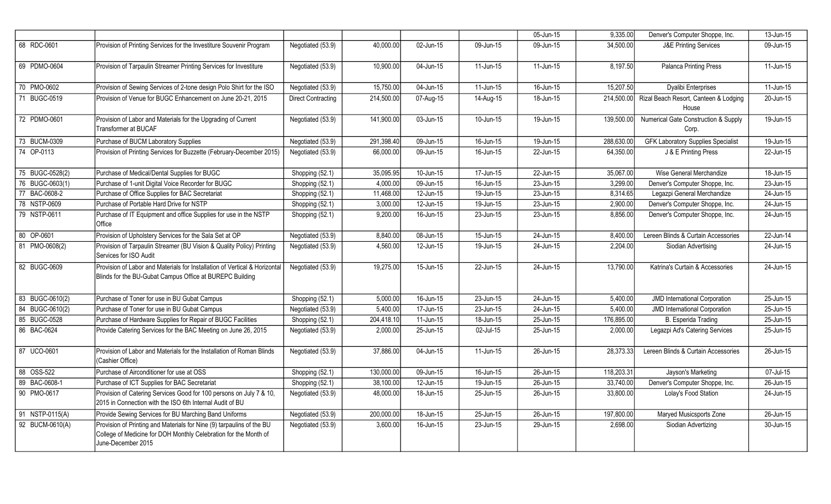|                 |                                                                                                                                                                 |                           |            |              |           | 05-Jun-15 | 9,335.00   | Denver's Computer Shoppe, Inc.                 | 13-Jun-15    |
|-----------------|-----------------------------------------------------------------------------------------------------------------------------------------------------------------|---------------------------|------------|--------------|-----------|-----------|------------|------------------------------------------------|--------------|
| 68 RDC-0601     | Provision of Printing Services for the Investiture Souvenir Program                                                                                             | Negotiated (53.9)         | 40,000.00  | 02-Jun-15    | 09-Jun-15 | 09-Jun-15 | 34,500.00  | <b>J&amp;E Printing Services</b>               | 09-Jun-15    |
| 69 PDMO-0604    | Provision of Tarpaulin Streamer Printing Services for Investiture                                                                                               | Negotiated (53.9)         | 10,900.00  | 04-Jun-15    | 11-Jun-15 | 11-Jun-15 | 8,197.50   | <b>Palanca Printing Press</b>                  | $11$ -Jun-15 |
| 70 PMO-0602     | Provision of Sewing Services of 2-tone design Polo Shirt for the ISO                                                                                            | Negotiated (53.9)         | 15,750.00  | 04-Jun-15    | 11-Jun-15 | 16-Jun-15 | 15.207.50  | Dyalibi Enterprises                            | $11$ -Jun-15 |
| 71 BUGC-0519    | Provision of Venue for BUGC Enhancement on June 20-21, 2015                                                                                                     | <b>Direct Contracting</b> | 214,500.00 | 07-Aug-15    | 14-Aug-15 | 18-Jun-15 | 214,500.00 | Rizal Beach Resort, Canteen & Lodging<br>House | 20-Jun-15    |
| 72 PDMO-0601    | Provision of Labor and Materials for the Upgrading of Current<br>Transformer at BUCAF                                                                           | Negotiated (53.9)         | 141,900.00 | 03-Jun-15    | 10-Jun-15 | 19-Jun-15 | 139,500.00 | Numerical Gate Construction & Supply<br>Corp.  | 19-Jun-15    |
| 73 BUCM-0309    | Purchase of BUCM Laboratory Supplies                                                                                                                            | Negotiated (53.9)         | 291,398.40 | 09-Jun-15    | 16-Jun-15 | 19-Jun-15 | 288,630.00 | <b>GFK Laboratory Supplies Specialist</b>      | 19-Jun-15    |
| 74 OP-0113      | Provision of Printing Services for Buzzette (February-December 2015)                                                                                            | Negotiated (53.9)         | 66,000.00  | 09-Jun-15    | 16-Jun-15 | 22-Jun-15 | 64,350.00  | J & E Printing Press                           | 22-Jun-15    |
| 75 BUGC-0528(2) | Purchase of Medical/Dental Supplies for BUGC                                                                                                                    | Shopping (52.1)           | 35,095.95  | 10-Jun-15    | 17-Jun-15 | 22-Jun-15 | 35,067.00  | Wise General Merchandize                       | $18$ -Jun-15 |
| 76 BUGC-0603(1) | Purchase of 1-unit Digital Voice Recorder for BUGC                                                                                                              | Shopping (52.1)           | 4,000.00   | 09-Jun-15    | 16-Jun-15 | 23-Jun-15 | 3,299.00   | Denver's Computer Shoppe, Inc.                 | 23-Jun-15    |
| 77 BAC-0608-2   | Purchase of Office Supplies for BAC Secretariat                                                                                                                 | Shopping (52.1)           | 11,468.00  | 12-Jun-15    | 19-Jun-15 | 23-Jun-15 | 8,314.65   | Legazpi General Merchandize                    | 24-Jun-15    |
| 78 NSTP-0609    | Purchase of Portable Hard Drive for NSTP                                                                                                                        | Shopping (52.1)           | 3,000.00   | 12-Jun-15    | 19-Jun-15 | 23-Jun-15 | 2,900.00   | Denver's Computer Shoppe, Inc.                 | 24-Jun-15    |
| 79 NSTP-0611    | Purchase of IT Equipment and office Supplies for use in the NSTP<br>Office                                                                                      | Shopping (52.1)           | 9,200.00   | 16-Jun-15    | 23-Jun-15 | 23-Jun-15 | 8,856.00   | Denver's Computer Shoppe, Inc.                 | 24-Jun-15    |
| 80 OP-0601      | Provision of Upholstery Services for the Sala Set at OP                                                                                                         | Negotiated (53.9)         | 8,840.00   | 08-Jun-15    | 15-Jun-15 | 24-Jun-15 | 8,400.00   | Lereen Blinds & Curtain Accessories            | 22-Jun-14    |
| 81 PMO-0608(2)  | Provision of Tarpaulin Streamer (BU Vision & Quality Policy) Printing<br>Services for ISO Audit                                                                 | Negotiated (53.9)         | 4,560.00   | 12-Jun-15    | 19-Jun-15 | 24-Jun-15 | 2,204.00   | Siodian Advertising                            | 24-Jun-15    |
| 82 BUGC-0609    | Provision of Labor and Materials for Installation of Vertical & Horizontal<br>Blinds for the BU-Gubat Campus Office at BUREPC Building                          | Negotiated (53.9)         | 19,275.00  | 15-Jun-15    | 22-Jun-15 | 24-Jun-15 | 13,790.00  | Katrina's Curtain & Accessories                | 24-Jun-15    |
| 83 BUGC-0610(2) | Purchase of Toner for use in BU Gubat Campus                                                                                                                    | Shopping (52.1)           | 5,000.00   | 16-Jun-15    | 23-Jun-15 | 24-Jun-15 | 5,400.00   | JMD International Corporation                  | 25-Jun-15    |
| 84 BUGC-0610(2) | Purchase of Toner for use in BU Gubat Campus                                                                                                                    | Negotiated (53.9)         | 5.400.00   | 17-Jun-15    | 23-Jun-15 | 24-Jun-15 | 5.400.00   | JMD International Corporation                  | 25-Jun-15    |
| 85 BUGC-0528    | Purchase of Hardware Supplies for Repair of BUGC Facilities                                                                                                     | Shopping (52.1)           | 204,418.10 | 11-Jun-15    | 18-Jun-15 | 25-Jun-15 | 176,895.00 | <b>B.</b> Esperida Trading                     | 25-Jun-15    |
| 86 BAC-0624     | Provide Catering Services for the BAC Meeting on June 26, 2015                                                                                                  | Negotiated (53.9)         | 2,000.00   | 25-Jun-15    | 02-Jul-15 | 25-Jun-15 | 2,000.00   | Legazpi Ad's Catering Services                 | 25-Jun-15    |
| 87 UCO-0601     | Provision of Labor and Materials for the Installation of Roman Blinds<br>(Cashier Office)                                                                       | Negotiated (53.9)         | 37,886.00  | $04$ -Jun-15 | 11-Jun-15 | 26-Jun-15 | 28,373.33  | Lereen Blinds & Curtain Accessories            | 26-Jun-15    |
| 88 OSS-522      | Purchase of Airconditioner for use at OSS                                                                                                                       | Shopping (52.1)           | 130,000.00 | 09-Jun-15    | 16-Jun-15 | 26-Jun-15 | 118,203.31 | Jayson's Marketing                             | 07-Jul-15    |
| 89 BAC-0608-1   | Purchase of ICT Supplies for BAC Secretariat                                                                                                                    | Shopping (52.1)           | 38,100.00  | 12-Jun-15    | 19-Jun-15 | 26-Jun-15 | 33,740.00  | Denver's Computer Shoppe, Inc.                 | 26-Jun-15    |
| 90 PMO-0617     | Provision of Catering Services Good for 100 persons on July 7 & 10,<br>2015 in Connection with the ISO 6th Internal Audit of BU                                 | Negotiated (53.9)         | 48,000.00  | 18-Jun-15    | 25-Jun-15 | 26-Jun-15 | 33,800.00  | Lolay's Food Station                           | 24-Jun-15    |
| 91 NSTP-0115(A) | Provide Sewing Services for BU Marching Band Uniforms                                                                                                           | Negotiated (53.9)         | 200,000.00 | 18-Jun-15    | 25-Jun-15 | 26-Jun-15 | 197,800.00 | Maryed Musicsports Zone                        | $26$ -Jun-15 |
| 92 BUCM-0610(A) | Provision of Printing and Materials for Nine (9) tarpaulins of the BU<br>College of Medicine for DOH Monthly Celebration for the Month of<br>June-December 2015 | Negotiated (53.9)         | 3,600.00   | 16-Jun-15    | 23-Jun-15 | 29-Jun-15 | 2,698.00   | Siodian Advertizing                            | 30-Jun-15    |